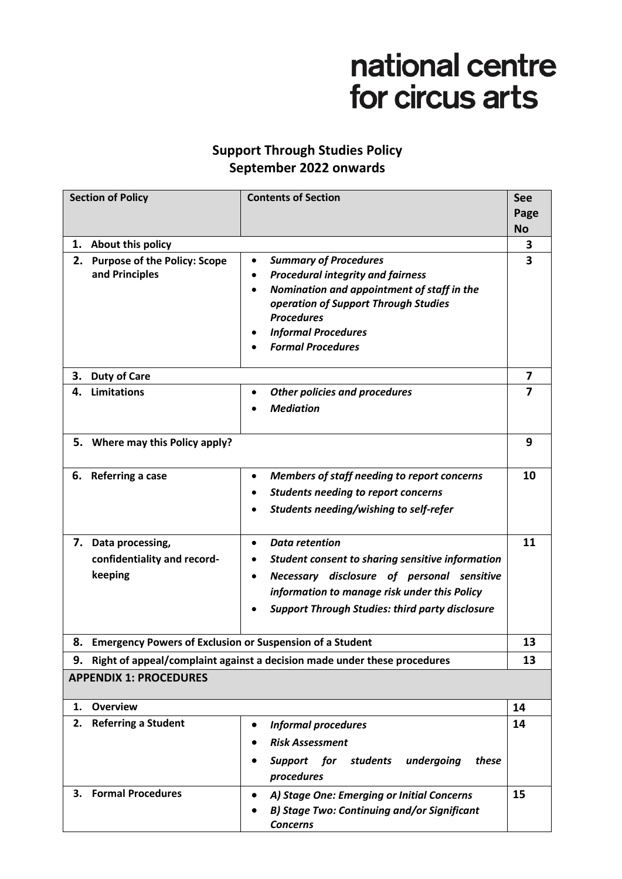# national centre for circus arts

# **Support Through Studies Policy September 2022 onwards**

| <b>Section of Policy</b>      |                                                                          | <b>Contents of Section</b>                                   | See       |  |
|-------------------------------|--------------------------------------------------------------------------|--------------------------------------------------------------|-----------|--|
|                               |                                                                          |                                                              | Page      |  |
|                               |                                                                          |                                                              | <b>No</b> |  |
| 1.                            | About this policy                                                        |                                                              | 3         |  |
| 2.                            | <b>Purpose of the Policy: Scope</b>                                      | <b>Summary of Procedures</b><br>$\bullet$                    | 3         |  |
|                               | and Principles                                                           | <b>Procedural integrity and fairness</b><br>$\bullet$        |           |  |
|                               |                                                                          | Nomination and appointment of staff in the<br>$\bullet$      |           |  |
|                               |                                                                          | operation of Support Through Studies<br><b>Procedures</b>    |           |  |
|                               |                                                                          | <b>Informal Procedures</b>                                   |           |  |
|                               |                                                                          | <b>Formal Procedures</b>                                     |           |  |
|                               |                                                                          |                                                              |           |  |
| 3.                            | <b>Duty of Care</b>                                                      |                                                              |           |  |
| 4.                            | <b>Limitations</b>                                                       | <b>Other policies and procedures</b><br>٠                    | 7         |  |
|                               |                                                                          | <b>Mediation</b>                                             |           |  |
|                               |                                                                          |                                                              |           |  |
|                               | 5. Where may this Policy apply?                                          |                                                              | 9         |  |
|                               |                                                                          |                                                              |           |  |
| 6.                            | Referring a case                                                         | Members of staff needing to report concerns<br>٠             | 10        |  |
|                               |                                                                          | <b>Students needing to report concerns</b>                   |           |  |
|                               |                                                                          | Students needing/wishing to self-refer                       |           |  |
|                               |                                                                          |                                                              |           |  |
|                               | 7. Data processing,                                                      | <b>Data retention</b><br>$\bullet$                           | 11        |  |
|                               | confidentiality and record-                                              | Student consent to sharing sensitive information             |           |  |
|                               | keeping                                                                  | Necessary disclosure of personal sensitive<br>$\bullet$      |           |  |
|                               |                                                                          | information to manage risk under this Policy                 |           |  |
|                               |                                                                          | <b>Support Through Studies: third party disclosure</b>       |           |  |
|                               |                                                                          |                                                              |           |  |
|                               | 8. Emergency Powers of Exclusion or Suspension of a Student              |                                                              | 13        |  |
| 9.                            | Right of appeal/complaint against a decision made under these procedures |                                                              | 13        |  |
| <b>APPENDIX 1: PROCEDURES</b> |                                                                          |                                                              |           |  |
| 1.                            | <b>Overview</b>                                                          |                                                              | 14        |  |
| 2.                            | <b>Referring a Student</b>                                               | <b>Informal procedures</b>                                   | 14        |  |
|                               |                                                                          | <b>Risk Assessment</b>                                       |           |  |
|                               |                                                                          |                                                              |           |  |
|                               |                                                                          | Support for<br>undergoing<br>these<br>students<br>procedures |           |  |
| 3.                            | <b>Formal Procedures</b>                                                 | A) Stage One: Emerging or Initial Concerns<br>$\bullet$      | 15        |  |
|                               |                                                                          | <b>B) Stage Two: Continuing and/or Significant</b>           |           |  |
|                               |                                                                          | <b>Concerns</b>                                              |           |  |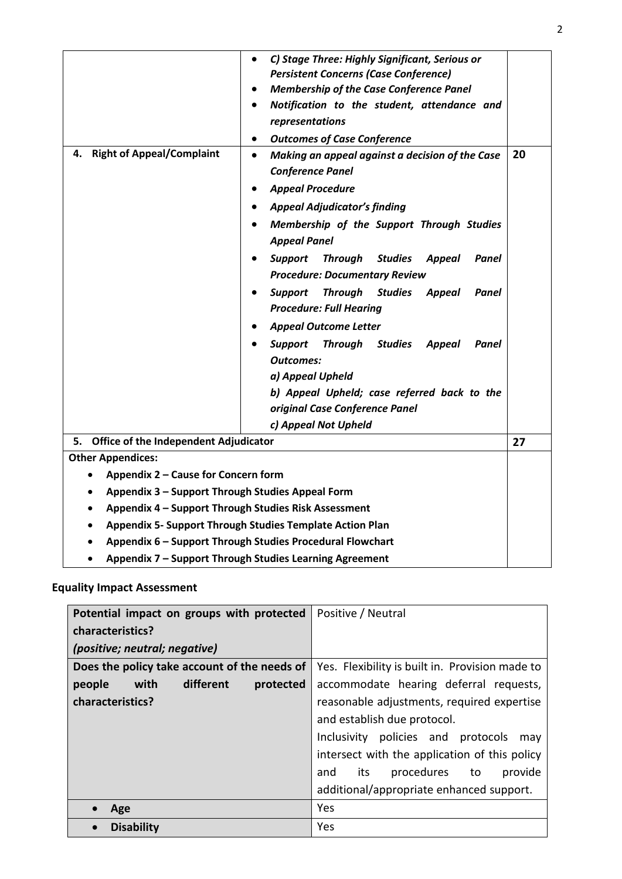| <b>Right of Appeal/Complaint</b><br>4.                                                                               | C) Stage Three: Highly Significant, Serious or<br>$\bullet$<br><b>Persistent Concerns (Case Conference)</b><br><b>Membership of the Case Conference Panel</b><br>Notification to the student, attendance and<br>representations<br><b>Outcomes of Case Conference</b><br>٠<br>Making an appeal against a decision of the Case<br>$\bullet$<br><b>Conference Panel</b><br><b>Appeal Procedure</b><br><b>Appeal Adjudicator's finding</b><br>Membership of the Support Through Studies<br><b>Appeal Panel</b><br><b>Support</b><br><b>Studies</b><br><b>Appeal</b><br>Panel<br>Through<br><b>Procedure: Documentary Review</b><br>Support<br><b>Through Studies</b><br><b>Appeal</b><br>Panel<br><b>Procedure: Full Hearing</b><br><b>Appeal Outcome Letter</b><br><b>Support</b><br><b>Through</b><br><b>Studies</b><br><b>Appeal</b><br>Panel<br><b>Outcomes:</b><br>a) Appeal Upheld<br>b) Appeal Upheld; case referred back to the<br>original Case Conference Panel<br>c) Appeal Not Upheld | 20 |  |  |
|----------------------------------------------------------------------------------------------------------------------|------------------------------------------------------------------------------------------------------------------------------------------------------------------------------------------------------------------------------------------------------------------------------------------------------------------------------------------------------------------------------------------------------------------------------------------------------------------------------------------------------------------------------------------------------------------------------------------------------------------------------------------------------------------------------------------------------------------------------------------------------------------------------------------------------------------------------------------------------------------------------------------------------------------------------------------------------------------------------------------------|----|--|--|
| <b>Office of the Independent Adjudicator</b><br>5.                                                                   |                                                                                                                                                                                                                                                                                                                                                                                                                                                                                                                                                                                                                                                                                                                                                                                                                                                                                                                                                                                                | 27 |  |  |
| <b>Other Appendices:</b>                                                                                             |                                                                                                                                                                                                                                                                                                                                                                                                                                                                                                                                                                                                                                                                                                                                                                                                                                                                                                                                                                                                |    |  |  |
| Appendix 2 - Cause for Concern form                                                                                  |                                                                                                                                                                                                                                                                                                                                                                                                                                                                                                                                                                                                                                                                                                                                                                                                                                                                                                                                                                                                |    |  |  |
| Appendix 3 - Support Through Studies Appeal Form                                                                     |                                                                                                                                                                                                                                                                                                                                                                                                                                                                                                                                                                                                                                                                                                                                                                                                                                                                                                                                                                                                |    |  |  |
| Appendix 4 - Support Through Studies Risk Assessment                                                                 |                                                                                                                                                                                                                                                                                                                                                                                                                                                                                                                                                                                                                                                                                                                                                                                                                                                                                                                                                                                                |    |  |  |
| <b>Appendix 5- Support Through Studies Template Action Plan</b>                                                      |                                                                                                                                                                                                                                                                                                                                                                                                                                                                                                                                                                                                                                                                                                                                                                                                                                                                                                                                                                                                |    |  |  |
| Appendix 6 - Support Through Studies Procedural Flowchart<br>Appendix 7 - Support Through Studies Learning Agreement |                                                                                                                                                                                                                                                                                                                                                                                                                                                                                                                                                                                                                                                                                                                                                                                                                                                                                                                                                                                                |    |  |  |

## **Equality Impact Assessment**

| Potential impact on groups with protected    | Positive / Neutral                              |
|----------------------------------------------|-------------------------------------------------|
| characteristics?                             |                                                 |
| (positive; neutral; negative)                |                                                 |
| Does the policy take account of the needs of | Yes. Flexibility is built in. Provision made to |
| different<br>with<br>people<br>protected     | accommodate hearing deferral requests,          |
| characteristics?                             | reasonable adjustments, required expertise      |
|                                              | and establish due protocol.                     |
|                                              | Inclusivity policies and protocols<br>may       |
|                                              | intersect with the application of this policy   |
|                                              | procedures to<br>provide<br>its<br>and          |
|                                              | additional/appropriate enhanced support.        |
| Age                                          | Yes                                             |
| <b>Disability</b><br>$\bullet$               | Yes                                             |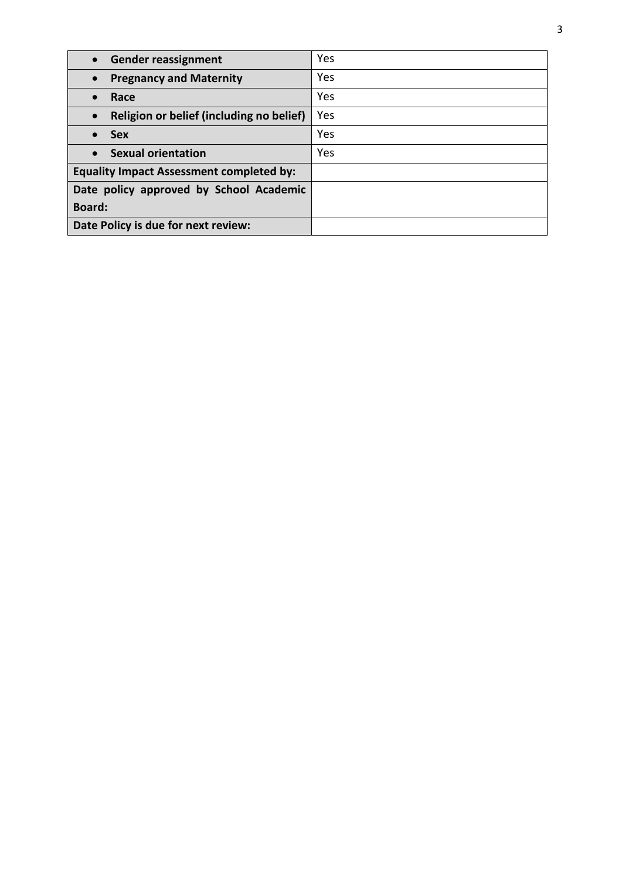| <b>Gender reassignment</b><br>$\bullet$               | Yes |
|-------------------------------------------------------|-----|
| <b>Pregnancy and Maternity</b><br>$\bullet$           | Yes |
| Race<br>$\bullet$                                     | Yes |
| Religion or belief (including no belief)<br>$\bullet$ | Yes |
| <b>Sex</b><br>$\bullet$                               | Yes |
| <b>Sexual orientation</b><br>$\bullet$                | Yes |
| <b>Equality Impact Assessment completed by:</b>       |     |
| Date policy approved by School Academic               |     |
| <b>Board:</b>                                         |     |
| Date Policy is due for next review:                   |     |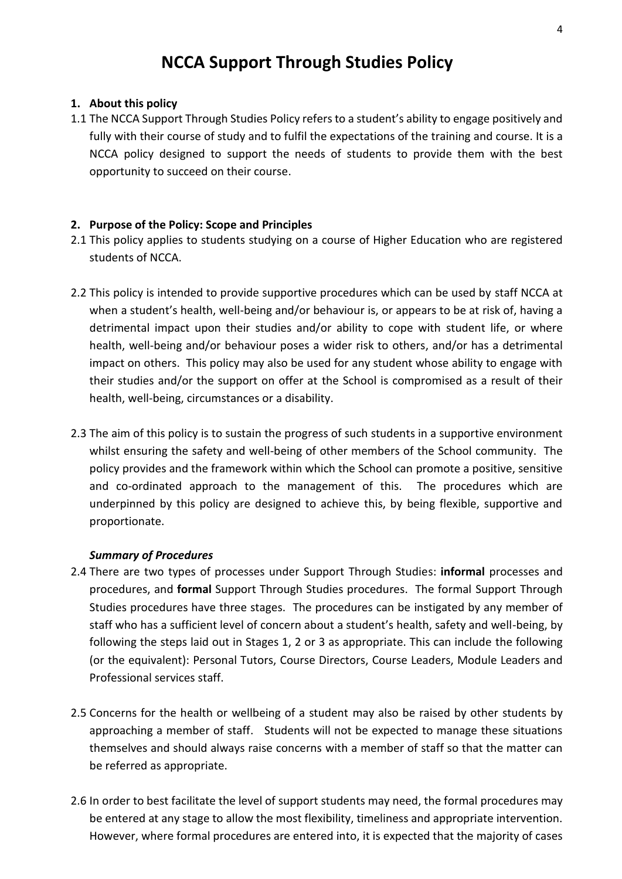# **NCCA Support Through Studies Policy**

#### **1. About this policy**

1.1 The NCCA Support Through Studies Policy refers to a student's ability to engage positively and fully with their course of study and to fulfil the expectations of the training and course. It is a NCCA policy designed to support the needs of students to provide them with the best opportunity to succeed on their course.

#### **2. Purpose of the Policy: Scope and Principles**

- 2.1 This policy applies to students studying on a course of Higher Education who are registered students of NCCA.
- 2.2 This policy is intended to provide supportive procedures which can be used by staff NCCA at when a student's health, well-being and/or behaviour is, or appears to be at risk of, having a detrimental impact upon their studies and/or ability to cope with student life, or where health, well-being and/or behaviour poses a wider risk to others, and/or has a detrimental impact on others. This policy may also be used for any student whose ability to engage with their studies and/or the support on offer at the School is compromised as a result of their health, well-being, circumstances or a disability.
- 2.3 The aim of this policy is to sustain the progress of such students in a supportive environment whilst ensuring the safety and well-being of other members of the School community. The policy provides and the framework within which the School can promote a positive, sensitive and co-ordinated approach to the management of this. The procedures which are underpinned by this policy are designed to achieve this, by being flexible, supportive and proportionate.

#### *Summary of Procedures*

- 2.4 There are two types of processes under Support Through Studies: **informal** processes and procedures, and **formal** Support Through Studies procedures. The formal Support Through Studies procedures have three stages. The procedures can be instigated by any member of staff who has a sufficient level of concern about a student's health, safety and well-being, by following the steps laid out in Stages 1, 2 or 3 as appropriate. This can include the following (or the equivalent): Personal Tutors, Course Directors, Course Leaders, Module Leaders and Professional services staff.
- 2.5 Concerns for the health or wellbeing of a student may also be raised by other students by approaching a member of staff. Students will not be expected to manage these situations themselves and should always raise concerns with a member of staff so that the matter can be referred as appropriate.
- 2.6 In order to best facilitate the level of support students may need, the formal procedures may be entered at any stage to allow the most flexibility, timeliness and appropriate intervention. However, where formal procedures are entered into, it is expected that the majority of cases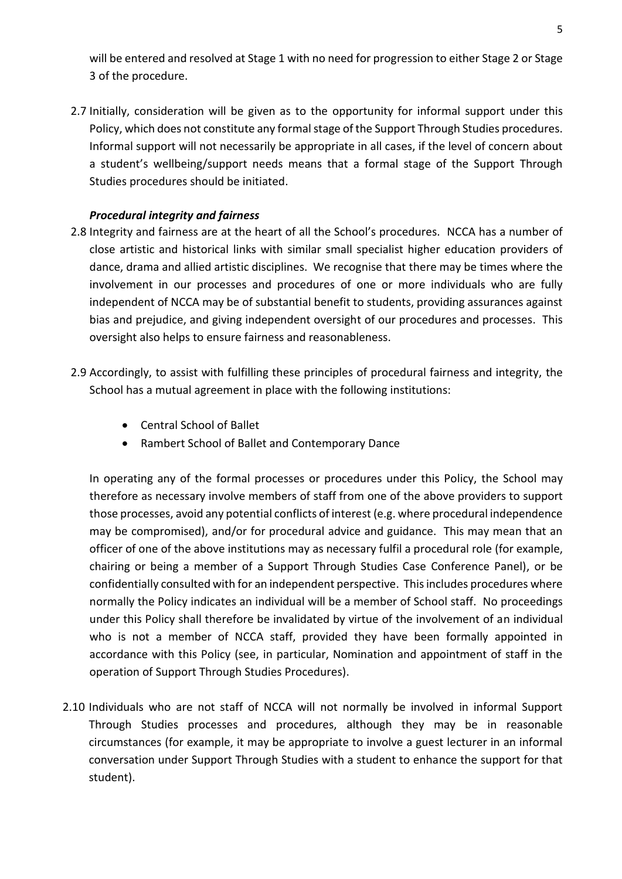will be entered and resolved at Stage 1 with no need for progression to either Stage 2 or Stage 3 of the procedure.

2.7 Initially, consideration will be given as to the opportunity for informal support under this Policy, which does not constitute any formal stage of the Support Through Studies procedures. Informal support will not necessarily be appropriate in all cases, if the level of concern about a student's wellbeing/support needs means that a formal stage of the Support Through Studies procedures should be initiated.

## *Procedural integrity and fairness*

- 2.8 Integrity and fairness are at the heart of all the School's procedures. NCCA has a number of close artistic and historical links with similar small specialist higher education providers of dance, drama and allied artistic disciplines. We recognise that there may be times where the involvement in our processes and procedures of one or more individuals who are fully independent of NCCA may be of substantial benefit to students, providing assurances against bias and prejudice, and giving independent oversight of our procedures and processes. This oversight also helps to ensure fairness and reasonableness.
- 2.9 Accordingly, to assist with fulfilling these principles of procedural fairness and integrity, the School has a mutual agreement in place with the following institutions:
	- Central School of Ballet
	- Rambert School of Ballet and Contemporary Dance

In operating any of the formal processes or procedures under this Policy, the School may therefore as necessary involve members of staff from one of the above providers to support those processes, avoid any potential conflicts of interest (e.g. where procedural independence may be compromised), and/or for procedural advice and guidance. This may mean that an officer of one of the above institutions may as necessary fulfil a procedural role (for example, chairing or being a member of a Support Through Studies Case Conference Panel), or be confidentially consulted with for an independent perspective. This includes procedures where normally the Policy indicates an individual will be a member of School staff. No proceedings under this Policy shall therefore be invalidated by virtue of the involvement of an individual who is not a member of NCCA staff, provided they have been formally appointed in accordance with this Policy (see, in particular, Nomination and appointment of staff in the operation of Support Through Studies Procedures).

2.10 Individuals who are not staff of NCCA will not normally be involved in informal Support Through Studies processes and procedures, although they may be in reasonable circumstances (for example, it may be appropriate to involve a guest lecturer in an informal conversation under Support Through Studies with a student to enhance the support for that student).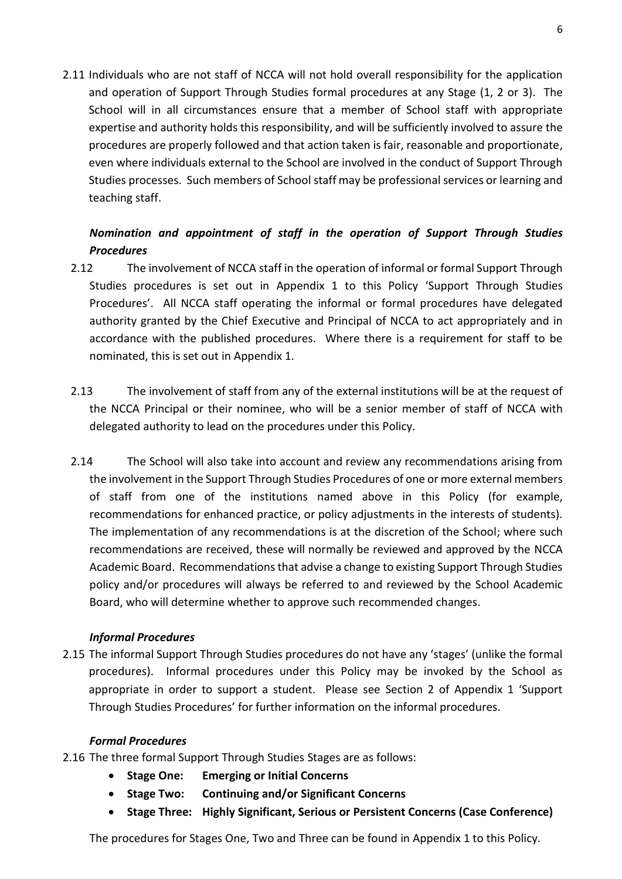2.11 Individuals who are not staff of NCCA will not hold overall responsibility for the application and operation of Support Through Studies formal procedures at any Stage (1, 2 or 3). The School will in all circumstances ensure that a member of School staff with appropriate expertise and authority holds this responsibility, and will be sufficiently involved to assure the procedures are properly followed and that action taken is fair, reasonable and proportionate, even where individuals external to the School are involved in the conduct of Support Through Studies processes. Such members of School staff may be professional services or learning and teaching staff.

## *Nomination and appointment of staff in the operation of Support Through Studies Procedures*

- 2.12 The involvement of NCCA staff in the operation of informal or formal Support Through Studies procedures is set out in Appendix 1 to this Policy 'Support Through Studies Procedures'. All NCCA staff operating the informal or formal procedures have delegated authority granted by the Chief Executive and Principal of NCCA to act appropriately and in accordance with the published procedures. Where there is a requirement for staff to be nominated, this is set out in Appendix 1.
- 2.13 The involvement of staff from any of the external institutions will be at the request of the NCCA Principal or their nominee, who will be a senior member of staff of NCCA with delegated authority to lead on the procedures under this Policy.
- 2.14 The School will also take into account and review any recommendations arising from the involvement in the Support Through Studies Procedures of one or more external members of staff from one of the institutions named above in this Policy (for example, recommendations for enhanced practice, or policy adjustments in the interests of students). The implementation of any recommendations is at the discretion of the School; where such recommendations are received, these will normally be reviewed and approved by the NCCA Academic Board. Recommendations that advise a change to existing Support Through Studies policy and/or procedures will always be referred to and reviewed by the School Academic Board, who will determine whether to approve such recommended changes.

## *Informal Procedures*

2.15 The informal Support Through Studies procedures do not have any 'stages' (unlike the formal procedures). Informal procedures under this Policy may be invoked by the School as appropriate in order to support a student. Please see Section 2 of Appendix 1 'Support Through Studies Procedures' for further information on the informal procedures.

## *Formal Procedures*

- 2.16 The three formal Support Through Studies Stages are as follows:
	- **Stage One: Emerging or Initial Concerns**
	- **Stage Two: Continuing and/or Significant Concerns**
	- **Stage Three: Highly Significant, Serious or Persistent Concerns (Case Conference)**

The procedures for Stages One, Two and Three can be found in Appendix 1 to this Policy.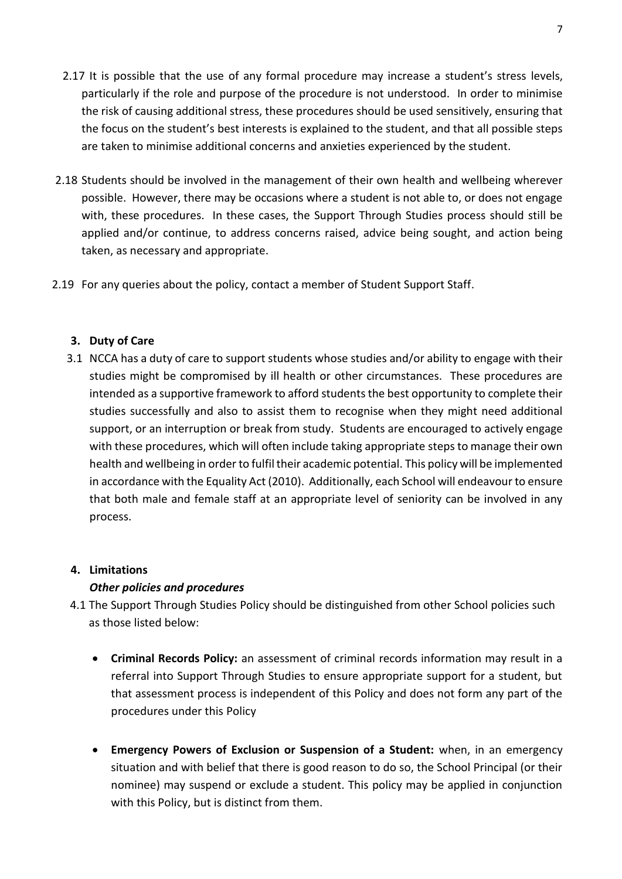- 2.17 It is possible that the use of any formal procedure may increase a student's stress levels, particularly if the role and purpose of the procedure is not understood. In order to minimise the risk of causing additional stress, these procedures should be used sensitively, ensuring that the focus on the student's best interests is explained to the student, and that all possible steps are taken to minimise additional concerns and anxieties experienced by the student.
- 2.18 Students should be involved in the management of their own health and wellbeing wherever possible. However, there may be occasions where a student is not able to, or does not engage with, these procedures. In these cases, the Support Through Studies process should still be applied and/or continue, to address concerns raised, advice being sought, and action being taken, as necessary and appropriate.
- 2.19 For any queries about the policy, contact a member of Student Support Staff.

## **3. Duty of Care**

3.1 NCCA has a duty of care to support students whose studies and/or ability to engage with their studies might be compromised by ill health or other circumstances. These procedures are intended as a supportive framework to afford students the best opportunity to complete their studies successfully and also to assist them to recognise when they might need additional support, or an interruption or break from study. Students are encouraged to actively engage with these procedures, which will often include taking appropriate steps to manage their own health and wellbeing in order to fulfil their academic potential. This policy will be implemented in accordance with the Equality Act (2010). Additionally, each School will endeavour to ensure that both male and female staff at an appropriate level of seniority can be involved in any process.

## **4. Limitations**

## *Other policies and procedures*

- 4.1 The Support Through Studies Policy should be distinguished from other School policies such as those listed below:
	- **Criminal Records Policy:** an assessment of criminal records information may result in a referral into Support Through Studies to ensure appropriate support for a student, but that assessment process is independent of this Policy and does not form any part of the procedures under this Policy
	- **Emergency Powers of Exclusion or Suspension of a Student:** when, in an emergency situation and with belief that there is good reason to do so, the School Principal (or their nominee) may suspend or exclude a student. This policy may be applied in conjunction with this Policy, but is distinct from them.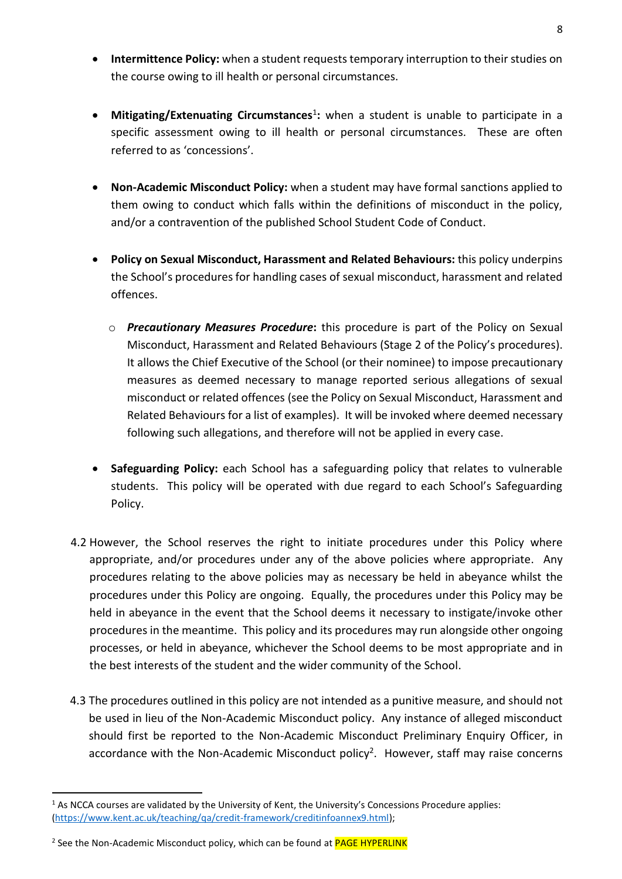- **Intermittence Policy:** when a student requests temporary interruption to their studies on the course owing to ill health or personal circumstances.
- **•** Mitigating/Extenuating Circumstances<sup>1</sup>: when a student is unable to participate in a specific assessment owing to ill health or personal circumstances. These are often referred to as 'concessions'.
- **Non-Academic Misconduct Policy:** when a student may have formal sanctions applied to them owing to conduct which falls within the definitions of misconduct in the policy, and/or a contravention of the published School Student Code of Conduct.
- **Policy on Sexual Misconduct, Harassment and Related Behaviours:** this policy underpins the School's procedures for handling cases of sexual misconduct, harassment and related offences.
	- o *Precautionary Measures Procedure***:** this procedure is part of the Policy on Sexual Misconduct, Harassment and Related Behaviours (Stage 2 of the Policy's procedures). It allows the Chief Executive of the School (or their nominee) to impose precautionary measures as deemed necessary to manage reported serious allegations of sexual misconduct or related offences (see the Policy on Sexual Misconduct, Harassment and Related Behaviours for a list of examples). It will be invoked where deemed necessary following such allegations, and therefore will not be applied in every case.
- **Safeguarding Policy:** each School has a safeguarding policy that relates to vulnerable students. This policy will be operated with due regard to each School's Safeguarding Policy.
- 4.2 However, the School reserves the right to initiate procedures under this Policy where appropriate, and/or procedures under any of the above policies where appropriate. Any procedures relating to the above policies may as necessary be held in abeyance whilst the procedures under this Policy are ongoing. Equally, the procedures under this Policy may be held in abeyance in the event that the School deems it necessary to instigate/invoke other procedures in the meantime. This policy and its procedures may run alongside other ongoing processes, or held in abeyance, whichever the School deems to be most appropriate and in the best interests of the student and the wider community of the School.
- 4.3 The procedures outlined in this policy are not intended as a punitive measure, and should not be used in lieu of the Non-Academic Misconduct policy. Any instance of alleged misconduct should first be reported to the Non-Academic Misconduct Preliminary Enquiry Officer, in accordance with the Non-Academic Misconduct policy<sup>2</sup>. However, staff may raise concerns

 $\overline{a}$ 

 $1$  As NCCA courses are validated by the University of Kent, the University's Concessions Procedure applies: [\(https://www.kent.ac.uk/teaching/qa/credit-framework/creditinfoannex9.html\)](https://www.kent.ac.uk/teaching/qa/credit-framework/creditinfoannex9.html);

<sup>&</sup>lt;sup>2</sup> See the Non-Academic Misconduct policy, which can be found at <mark>PAGE HYPERLINK</mark>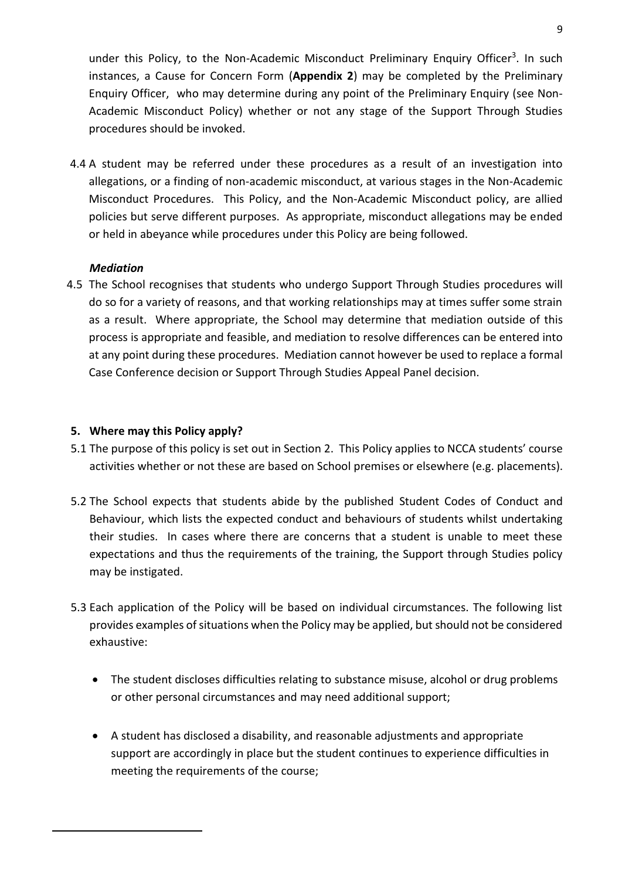under this Policy, to the Non-Academic Misconduct Preliminary Enquiry Officer<sup>3</sup>. In such instances, a Cause for Concern Form (**Appendix 2**) may be completed by the Preliminary Enquiry Officer, who may determine during any point of the Preliminary Enquiry (see Non-Academic Misconduct Policy) whether or not any stage of the Support Through Studies procedures should be invoked.

4.4 A student may be referred under these procedures as a result of an investigation into allegations, or a finding of non-academic misconduct, at various stages in the Non-Academic Misconduct Procedures. This Policy, and the Non-Academic Misconduct policy, are allied policies but serve different purposes. As appropriate, misconduct allegations may be ended or held in abeyance while procedures under this Policy are being followed.

## *Mediation*

 $\ddot{\phantom{a}}$ 

4.5 The School recognises that students who undergo Support Through Studies procedures will do so for a variety of reasons, and that working relationships may at times suffer some strain as a result. Where appropriate, the School may determine that mediation outside of this process is appropriate and feasible, and mediation to resolve differences can be entered into at any point during these procedures. Mediation cannot however be used to replace a formal Case Conference decision or Support Through Studies Appeal Panel decision.

## **5. Where may this Policy apply?**

- 5.1 The purpose of this policy is set out in Section 2. This Policy applies to NCCA students' course activities whether or not these are based on School premises or elsewhere (e.g. placements).
- 5.2 The School expects that students abide by the published Student Codes of Conduct and Behaviour, which lists the expected conduct and behaviours of students whilst undertaking their studies. In cases where there are concerns that a student is unable to meet these expectations and thus the requirements of the training, the Support through Studies policy may be instigated.
- 5.3 Each application of the Policy will be based on individual circumstances. The following list provides examples of situations when the Policy may be applied, but should not be considered exhaustive:
	- The student discloses difficulties relating to substance misuse, alcohol or drug problems or other personal circumstances and may need additional support;
	- A student has disclosed a disability, and reasonable adjustments and appropriate support are accordingly in place but the student continues to experience difficulties in meeting the requirements of the course;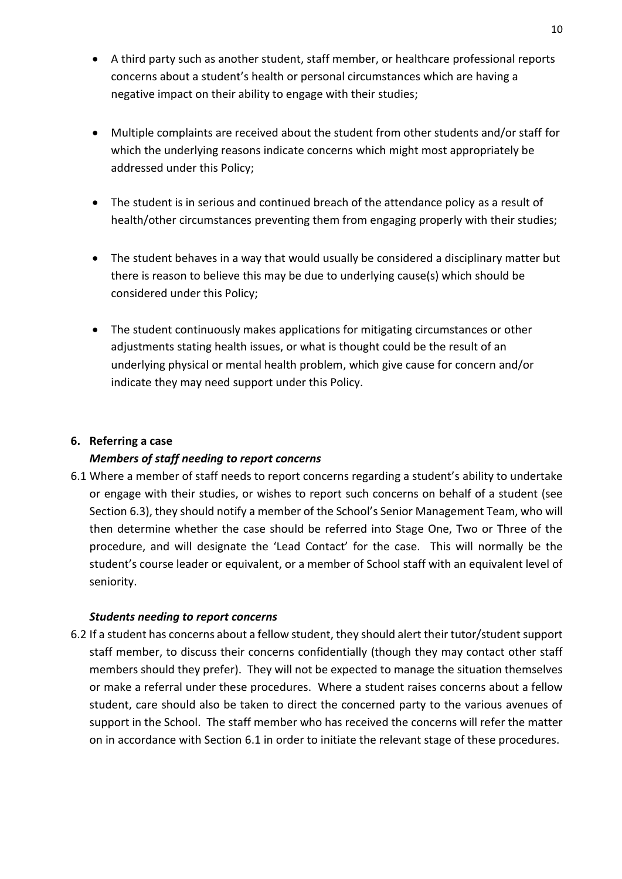- A third party such as another student, staff member, or healthcare professional reports concerns about a student's health or personal circumstances which are having a negative impact on their ability to engage with their studies;
- Multiple complaints are received about the student from other students and/or staff for which the underlying reasons indicate concerns which might most appropriately be addressed under this Policy;
- The student is in serious and continued breach of the attendance policy as a result of health/other circumstances preventing them from engaging properly with their studies;
- The student behaves in a way that would usually be considered a disciplinary matter but there is reason to believe this may be due to underlying cause(s) which should be considered under this Policy;
- The student continuously makes applications for mitigating circumstances or other adjustments stating health issues, or what is thought could be the result of an underlying physical or mental health problem, which give cause for concern and/or indicate they may need support under this Policy.

## **6. Referring a case**

## *Members of staff needing to report concerns*

6.1 Where a member of staff needs to report concerns regarding a student's ability to undertake or engage with their studies, or wishes to report such concerns on behalf of a student (see Section 6.3), they should notify a member of the School's Senior Management Team, who will then determine whether the case should be referred into Stage One, Two or Three of the procedure, and will designate the 'Lead Contact' for the case. This will normally be the student's course leader or equivalent, or a member of School staff with an equivalent level of seniority.

## *Students needing to report concerns*

6.2 If a student has concerns about a fellow student, they should alert their tutor/student support staff member, to discuss their concerns confidentially (though they may contact other staff members should they prefer). They will not be expected to manage the situation themselves or make a referral under these procedures. Where a student raises concerns about a fellow student, care should also be taken to direct the concerned party to the various avenues of support in the School. The staff member who has received the concerns will refer the matter on in accordance with Section 6.1 in order to initiate the relevant stage of these procedures.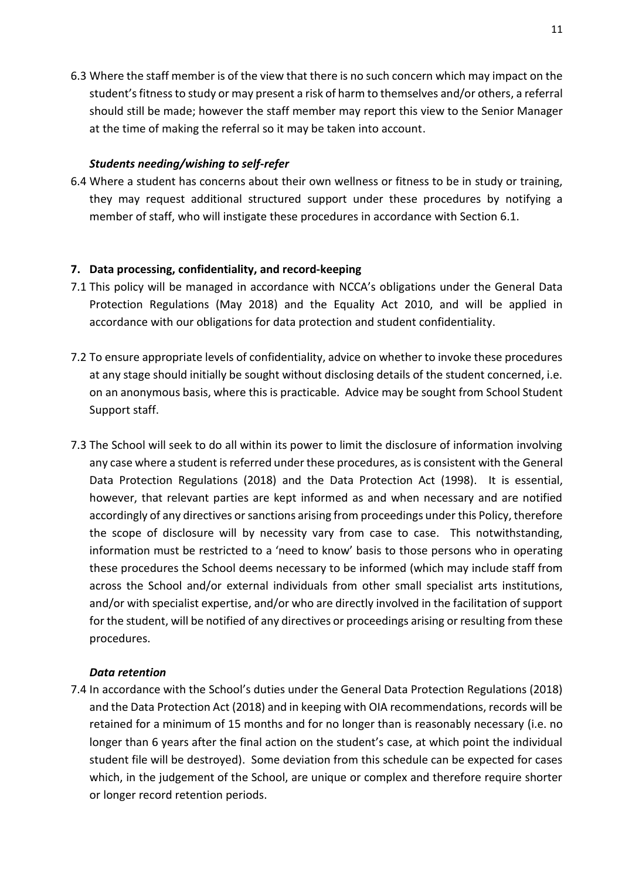6.3 Where the staff member is of the view that there is no such concern which may impact on the student's fitness to study or may present a risk of harm to themselves and/or others, a referral should still be made; however the staff member may report this view to the Senior Manager at the time of making the referral so it may be taken into account.

#### *Students needing/wishing to self-refer*

6.4 Where a student has concerns about their own wellness or fitness to be in study or training, they may request additional structured support under these procedures by notifying a member of staff, who will instigate these procedures in accordance with Section 6.1.

#### **7. Data processing, confidentiality, and record-keeping**

- 7.1 This policy will be managed in accordance with NCCA's obligations under the General Data Protection Regulations (May 2018) and the Equality Act 2010, and will be applied in accordance with our obligations for data protection and student confidentiality.
- 7.2 To ensure appropriate levels of confidentiality, advice on whether to invoke these procedures at any stage should initially be sought without disclosing details of the student concerned, i.e. on an anonymous basis, where this is practicable. Advice may be sought from School Student Support staff.
- 7.3 The School will seek to do all within its power to limit the disclosure of information involving any case where a student is referred under these procedures, as is consistent with the General Data Protection Regulations (2018) and the Data Protection Act (1998). It is essential, however, that relevant parties are kept informed as and when necessary and are notified accordingly of any directives or sanctions arising from proceedings under this Policy, therefore the scope of disclosure will by necessity vary from case to case. This notwithstanding, information must be restricted to a 'need to know' basis to those persons who in operating these procedures the School deems necessary to be informed (which may include staff from across the School and/or external individuals from other small specialist arts institutions, and/or with specialist expertise, and/or who are directly involved in the facilitation of support for the student, will be notified of any directives or proceedings arising or resulting from these procedures.

#### *Data retention*

7.4 In accordance with the School's duties under the General Data Protection Regulations (2018) and the Data Protection Act (2018) and in keeping with OIA recommendations, records will be retained for a minimum of 15 months and for no longer than is reasonably necessary (i.e. no longer than 6 years after the final action on the student's case, at which point the individual student file will be destroyed). Some deviation from this schedule can be expected for cases which, in the judgement of the School, are unique or complex and therefore require shorter or longer record retention periods.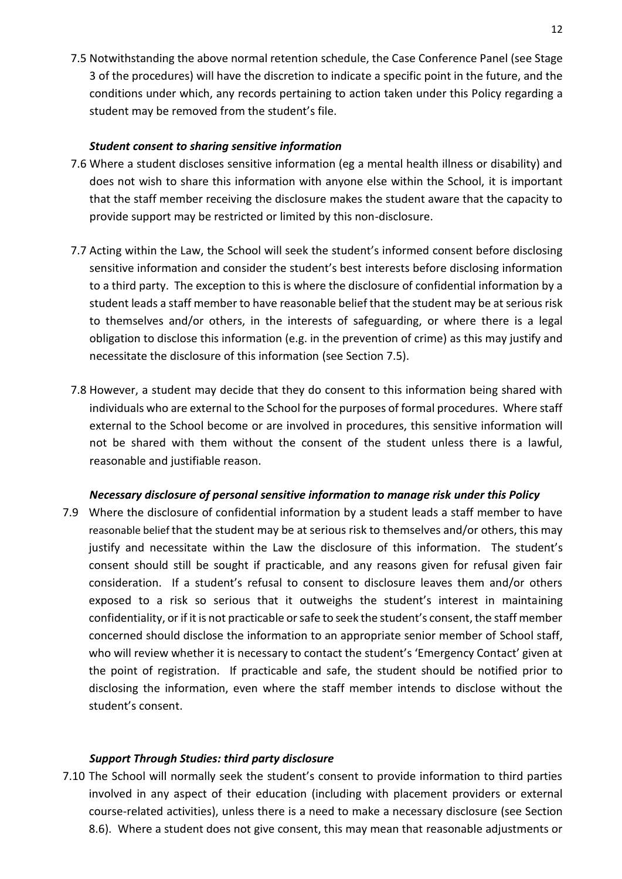7.5 Notwithstanding the above normal retention schedule, the Case Conference Panel (see Stage 3 of the procedures) will have the discretion to indicate a specific point in the future, and the conditions under which, any records pertaining to action taken under this Policy regarding a student may be removed from the student's file.

#### *Student consent to sharing sensitive information*

- 7.6 Where a student discloses sensitive information (eg a mental health illness or disability) and does not wish to share this information with anyone else within the School, it is important that the staff member receiving the disclosure makes the student aware that the capacity to provide support may be restricted or limited by this non-disclosure.
- 7.7 Acting within the Law, the School will seek the student's informed consent before disclosing sensitive information and consider the student's best interests before disclosing information to a third party. The exception to this is where the disclosure of confidential information by a student leads a staff member to have reasonable belief that the student may be at serious risk to themselves and/or others, in the interests of safeguarding, or where there is a legal obligation to disclose this information (e.g. in the prevention of crime) as this may justify and necessitate the disclosure of this information (see Section 7.5).
- 7.8 However, a student may decide that they do consent to this information being shared with individuals who are external to the School for the purposes of formal procedures. Where staff external to the School become or are involved in procedures, this sensitive information will not be shared with them without the consent of the student unless there is a lawful, reasonable and justifiable reason.

## *Necessary disclosure of personal sensitive information to manage risk under this Policy*

7.9 Where the disclosure of confidential information by a student leads a staff member to have reasonable belief that the student may be at serious risk to themselves and/or others, this may justify and necessitate within the Law the disclosure of this information. The student's consent should still be sought if practicable, and any reasons given for refusal given fair consideration. If a student's refusal to consent to disclosure leaves them and/or others exposed to a risk so serious that it outweighs the student's interest in maintaining confidentiality, or if it is not practicable or safe to seek the student's consent, the staff member concerned should disclose the information to an appropriate senior member of School staff, who will review whether it is necessary to contact the student's 'Emergency Contact' given at the point of registration. If practicable and safe, the student should be notified prior to disclosing the information, even where the staff member intends to disclose without the student's consent.

#### *Support Through Studies: third party disclosure*

7.10 The School will normally seek the student's consent to provide information to third parties involved in any aspect of their education (including with placement providers or external course-related activities), unless there is a need to make a necessary disclosure (see Section 8.6). Where a student does not give consent, this may mean that reasonable adjustments or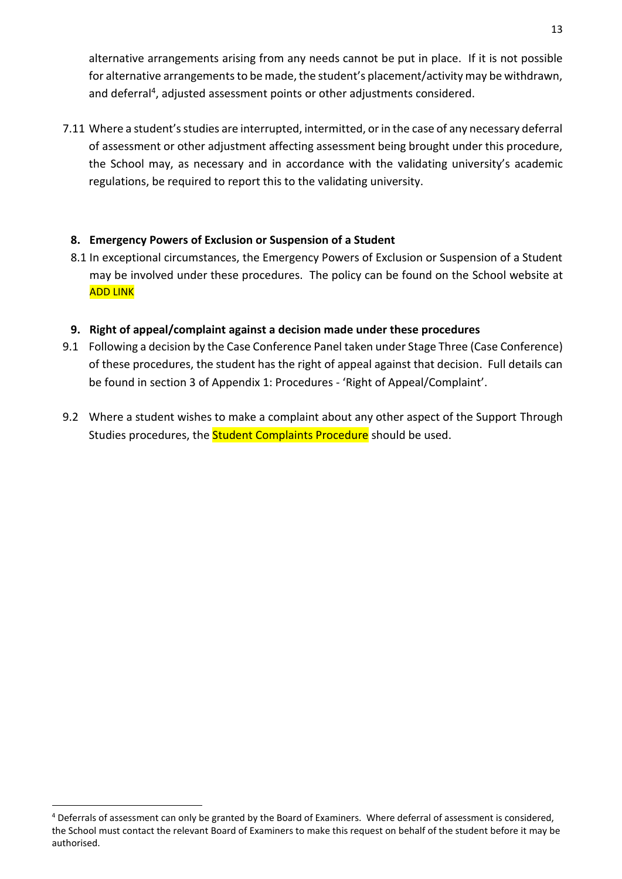alternative arrangements arising from any needs cannot be put in place. If it is not possible for alternative arrangements to be made, the student's placement/activity may be withdrawn, and deferral<sup>4</sup>, adjusted assessment points or other adjustments considered.

7.11 Where a student's studies are interrupted, intermitted, or in the case of any necessary deferral of assessment or other adjustment affecting assessment being brought under this procedure, the School may, as necessary and in accordance with the validating university's academic regulations, be required to report this to the validating university.

## **8. Emergency Powers of Exclusion or Suspension of a Student**

- 8.1 In exceptional circumstances, the Emergency Powers of Exclusion or Suspension of a Student may be involved under these procedures. The policy can be found on the School website at ADD LINK
- **9. Right of appeal/complaint against a decision made under these procedures**
- 9.1 Following a decision by the Case Conference Panel taken under Stage Three (Case Conference) of these procedures, the student has the right of appeal against that decision. Full details can be found in section 3 of Appendix 1: Procedures - 'Right of Appeal/Complaint'.
- 9.2 Where a student wishes to make a complaint about any other aspect of the Support Through Studies procedures, the **Student Complaints Procedure** should be used.

 $\ddot{\phantom{a}}$ 

<sup>&</sup>lt;sup>4</sup> Deferrals of assessment can only be granted by the Board of Examiners. Where deferral of assessment is considered, the School must contact the relevant Board of Examiners to make this request on behalf of the student before it may be authorised.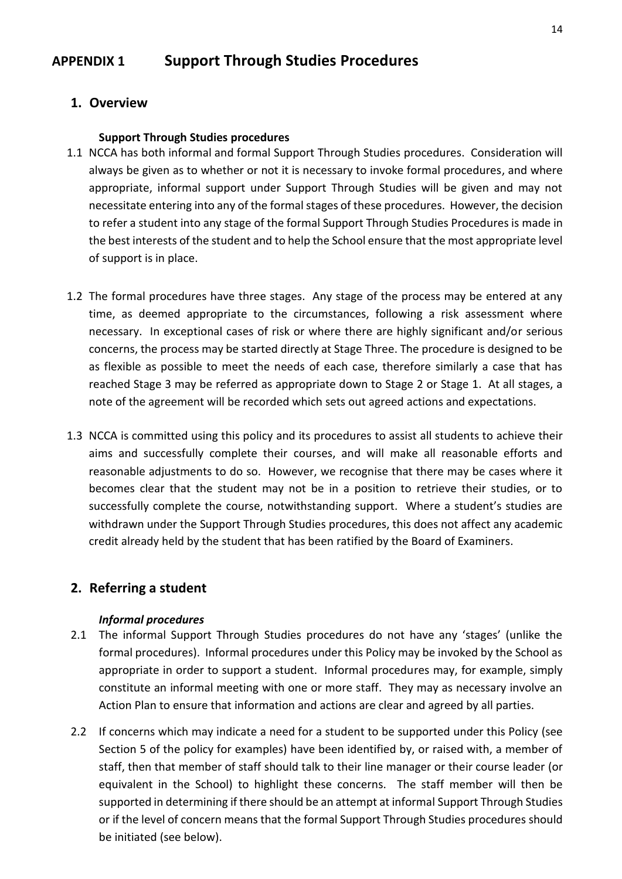## **APPENDIX 1 Support Through Studies Procedures**

## **1. Overview**

#### **Support Through Studies procedures**

- 1.1 NCCA has both informal and formal Support Through Studies procedures. Consideration will always be given as to whether or not it is necessary to invoke formal procedures, and where appropriate, informal support under Support Through Studies will be given and may not necessitate entering into any of the formal stages of these procedures. However, the decision to refer a student into any stage of the formal Support Through Studies Procedures is made in the best interests of the student and to help the School ensure that the most appropriate level of support is in place.
- 1.2 The formal procedures have three stages. Any stage of the process may be entered at any time, as deemed appropriate to the circumstances, following a risk assessment where necessary. In exceptional cases of risk or where there are highly significant and/or serious concerns, the process may be started directly at Stage Three. The procedure is designed to be as flexible as possible to meet the needs of each case, therefore similarly a case that has reached Stage 3 may be referred as appropriate down to Stage 2 or Stage 1. At all stages, a note of the agreement will be recorded which sets out agreed actions and expectations.
- 1.3 NCCA is committed using this policy and its procedures to assist all students to achieve their aims and successfully complete their courses, and will make all reasonable efforts and reasonable adjustments to do so. However, we recognise that there may be cases where it becomes clear that the student may not be in a position to retrieve their studies, or to successfully complete the course, notwithstanding support. Where a student's studies are withdrawn under the Support Through Studies procedures, this does not affect any academic credit already held by the student that has been ratified by the Board of Examiners.

## **2. Referring a student**

## *Informal procedures*

- 2.1 The informal Support Through Studies procedures do not have any 'stages' (unlike the formal procedures). Informal procedures under this Policy may be invoked by the School as appropriate in order to support a student. Informal procedures may, for example, simply constitute an informal meeting with one or more staff. They may as necessary involve an Action Plan to ensure that information and actions are clear and agreed by all parties.
- 2.2 If concerns which may indicate a need for a student to be supported under this Policy (see Section 5 of the policy for examples) have been identified by, or raised with, a member of staff, then that member of staff should talk to their line manager or their course leader (or equivalent in the School) to highlight these concerns. The staff member will then be supported in determining if there should be an attempt at informal Support Through Studies or if the level of concern means that the formal Support Through Studies procedures should be initiated (see below).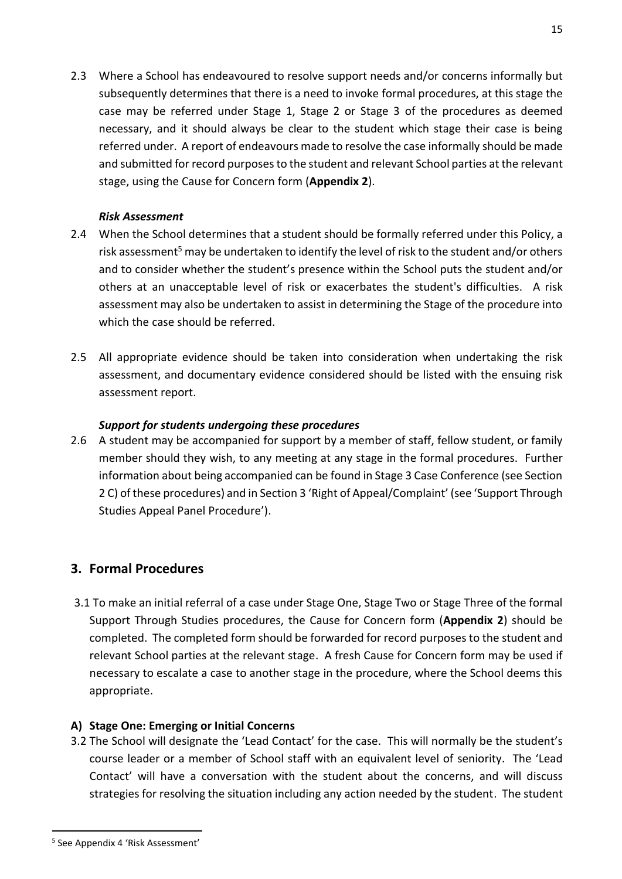2.3 Where a School has endeavoured to resolve support needs and/or concerns informally but subsequently determines that there is a need to invoke formal procedures, at this stage the case may be referred under Stage 1, Stage 2 or Stage 3 of the procedures as deemed necessary, and it should always be clear to the student which stage their case is being referred under. A report of endeavours made to resolve the case informally should be made and submitted for record purposes to the student and relevant School parties at the relevant stage, using the Cause for Concern form (**Appendix 2**).

## *Risk Assessment*

- 2.4 When the School determines that a student should be formally referred under this Policy, a risk assessment<sup>5</sup> may be undertaken to identify the level of risk to the student and/or others and to consider whether the student's presence within the School puts the student and/or others at an unacceptable level of risk or exacerbates the student's difficulties. A risk assessment may also be undertaken to assist in determining the Stage of the procedure into which the case should be referred.
- 2.5 All appropriate evidence should be taken into consideration when undertaking the risk assessment, and documentary evidence considered should be listed with the ensuing risk assessment report.

## *Support for students undergoing these procedures*

2.6 A student may be accompanied for support by a member of staff, fellow student, or family member should they wish, to any meeting at any stage in the formal procedures. Further information about being accompanied can be found in Stage 3 Case Conference (see Section 2 C) of these procedures) and in Section 3 'Right of Appeal/Complaint' (see 'Support Through Studies Appeal Panel Procedure').

## **3. Formal Procedures**

3.1 To make an initial referral of a case under Stage One, Stage Two or Stage Three of the formal Support Through Studies procedures, the Cause for Concern form (**Appendix 2**) should be completed. The completed form should be forwarded for record purposes to the student and relevant School parties at the relevant stage. A fresh Cause for Concern form may be used if necessary to escalate a case to another stage in the procedure, where the School deems this appropriate.

## **A) Stage One: Emerging or Initial Concerns**

3.2 The School will designate the 'Lead Contact' for the case. This will normally be the student's course leader or a member of School staff with an equivalent level of seniority. The 'Lead Contact' will have a conversation with the student about the concerns, and will discuss strategies for resolving the situation including any action needed by the student. The student

 $\ddot{\phantom{a}}$ 

<sup>5</sup> See Appendix 4 'Risk Assessment'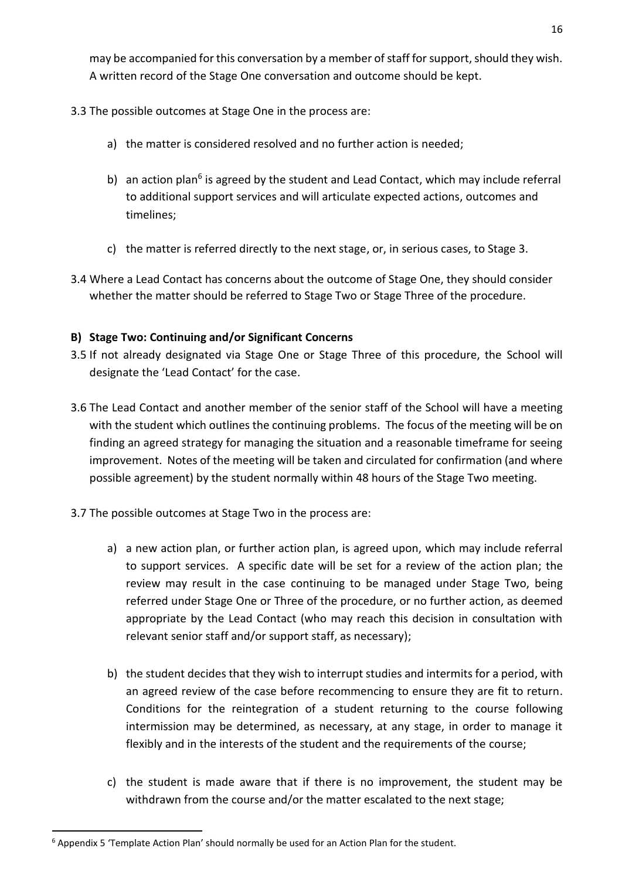may be accompanied for this conversation by a member of staff for support, should they wish. A written record of the Stage One conversation and outcome should be kept.

- 3.3 The possible outcomes at Stage One in the process are:
	- a) the matter is considered resolved and no further action is needed;
	- b) an action plan<sup>6</sup> is agreed by the student and Lead Contact, which may include referral to additional support services and will articulate expected actions, outcomes and timelines;
	- c) the matter is referred directly to the next stage, or, in serious cases, to Stage 3.
- 3.4 Where a Lead Contact has concerns about the outcome of Stage One, they should consider whether the matter should be referred to Stage Two or Stage Three of the procedure.

## **B) Stage Two: Continuing and/or Significant Concerns**

- 3.5 If not already designated via Stage One or Stage Three of this procedure, the School will designate the 'Lead Contact' for the case.
- 3.6 The Lead Contact and another member of the senior staff of the School will have a meeting with the student which outlines the continuing problems. The focus of the meeting will be on finding an agreed strategy for managing the situation and a reasonable timeframe for seeing improvement. Notes of the meeting will be taken and circulated for confirmation (and where possible agreement) by the student normally within 48 hours of the Stage Two meeting.
- 3.7 The possible outcomes at Stage Two in the process are:
	- a) a new action plan, or further action plan, is agreed upon, which may include referral to support services. A specific date will be set for a review of the action plan; the review may result in the case continuing to be managed under Stage Two, being referred under Stage One or Three of the procedure, or no further action, as deemed appropriate by the Lead Contact (who may reach this decision in consultation with relevant senior staff and/or support staff, as necessary);
	- b) the student decides that they wish to interrupt studies and intermits for a period, with an agreed review of the case before recommencing to ensure they are fit to return. Conditions for the reintegration of a student returning to the course following intermission may be determined, as necessary, at any stage, in order to manage it flexibly and in the interests of the student and the requirements of the course;
	- c) the student is made aware that if there is no improvement, the student may be withdrawn from the course and/or the matter escalated to the next stage;

 $\ddot{\phantom{a}}$  $6$  Appendix 5 'Template Action Plan' should normally be used for an Action Plan for the student.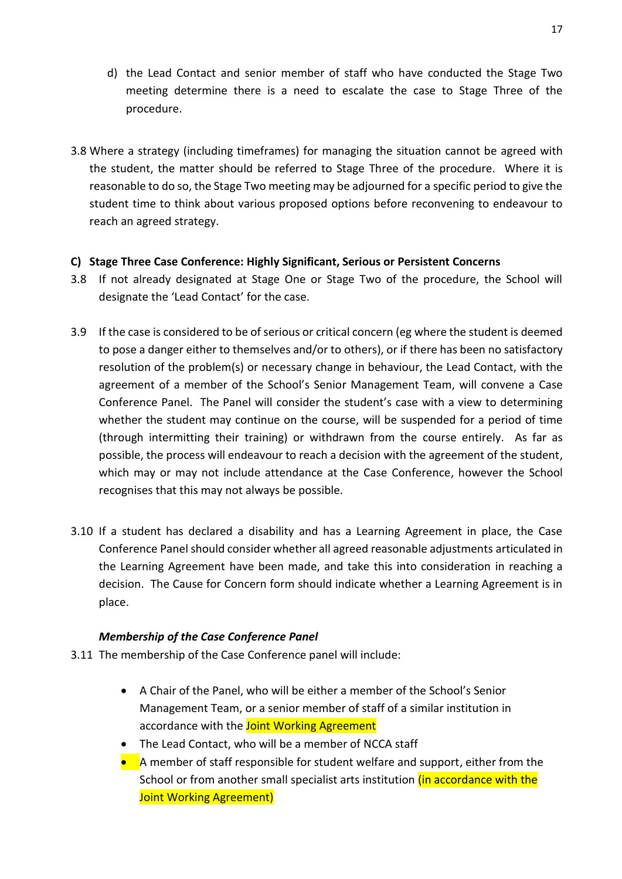- d) the Lead Contact and senior member of staff who have conducted the Stage Two meeting determine there is a need to escalate the case to Stage Three of the procedure.
- 3.8 Where a strategy (including timeframes) for managing the situation cannot be agreed with the student, the matter should be referred to Stage Three of the procedure. Where it is reasonable to do so, the Stage Two meeting may be adjourned for a specific period to give the student time to think about various proposed options before reconvening to endeavour to reach an agreed strategy.

## **C) Stage Three Case Conference: Highly Significant, Serious or Persistent Concerns**

- 3.8 If not already designated at Stage One or Stage Two of the procedure, the School will designate the 'Lead Contact' for the case.
- 3.9 If the case is considered to be of serious or critical concern (eg where the student is deemed to pose a danger either to themselves and/or to others), or if there has been no satisfactory resolution of the problem(s) or necessary change in behaviour, the Lead Contact, with the agreement of a member of the School's Senior Management Team, will convene a Case Conference Panel. The Panel will consider the student's case with a view to determining whether the student may continue on the course, will be suspended for a period of time (through intermitting their training) or withdrawn from the course entirely. As far as possible, the process will endeavour to reach a decision with the agreement of the student, which may or may not include attendance at the Case Conference, however the School recognises that this may not always be possible.
- 3.10 If a student has declared a disability and has a Learning Agreement in place, the Case Conference Panel should consider whether all agreed reasonable adjustments articulated in the Learning Agreement have been made, and take this into consideration in reaching a decision. The Cause for Concern form should indicate whether a Learning Agreement is in place.

## *Membership of the Case Conference Panel*

- 3.11 The membership of the Case Conference panel will include:
	- A Chair of the Panel, who will be either a member of the School's Senior Management Team, or a senior member of staff of a similar institution in accordance with the **Joint Working Agreement**
	- The Lead Contact, who will be a member of NCCA staff
	- A member of staff responsible for student welfare and support, either from the School or from another small specialist arts institution *(in accordance with the* Joint Working Agreement)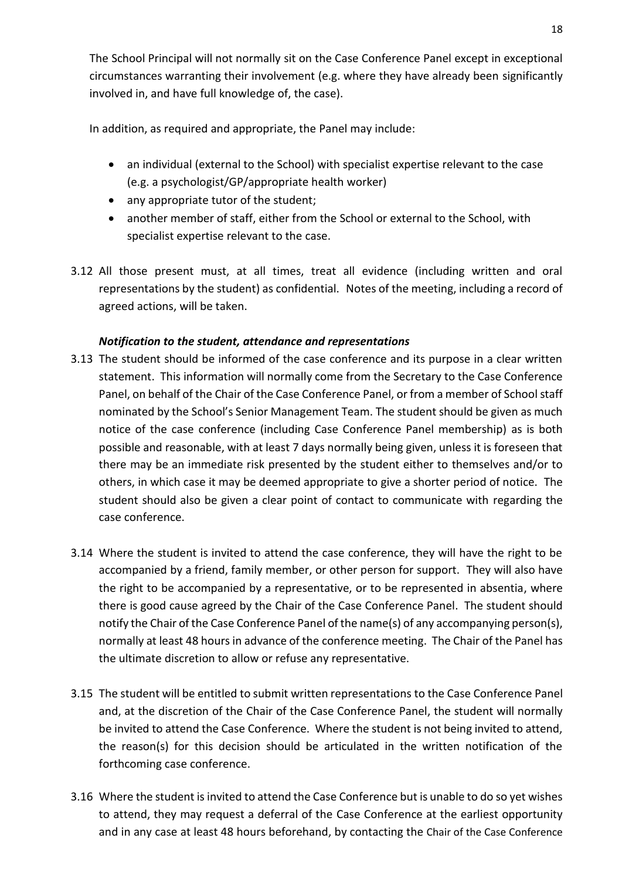The School Principal will not normally sit on the Case Conference Panel except in exceptional circumstances warranting their involvement (e.g. where they have already been significantly involved in, and have full knowledge of, the case).

In addition, as required and appropriate, the Panel may include:

- an individual (external to the School) with specialist expertise relevant to the case (e.g. a psychologist/GP/appropriate health worker)
- any appropriate tutor of the student;
- another member of staff, either from the School or external to the School, with specialist expertise relevant to the case.
- 3.12 All those present must, at all times, treat all evidence (including written and oral representations by the student) as confidential. Notes of the meeting, including a record of agreed actions, will be taken.

## *Notification to the student, attendance and representations*

- 3.13 The student should be informed of the case conference and its purpose in a clear written statement. This information will normally come from the Secretary to the Case Conference Panel, on behalf of the Chair of the Case Conference Panel, or from a member of School staff nominated by the School's Senior Management Team. The student should be given as much notice of the case conference (including Case Conference Panel membership) as is both possible and reasonable, with at least 7 days normally being given, unless it is foreseen that there may be an immediate risk presented by the student either to themselves and/or to others, in which case it may be deemed appropriate to give a shorter period of notice. The student should also be given a clear point of contact to communicate with regarding the case conference.
- 3.14 Where the student is invited to attend the case conference, they will have the right to be accompanied by a friend, family member, or other person for support. They will also have the right to be accompanied by a representative, or to be represented in absentia, where there is good cause agreed by the Chair of the Case Conference Panel. The student should notify the Chair of the Case Conference Panel of the name(s) of any accompanying person(s), normally at least 48 hours in advance of the conference meeting. The Chair of the Panel has the ultimate discretion to allow or refuse any representative.
- 3.15 The student will be entitled to submit written representations to the Case Conference Panel and, at the discretion of the Chair of the Case Conference Panel, the student will normally be invited to attend the Case Conference. Where the student is not being invited to attend, the reason(s) for this decision should be articulated in the written notification of the forthcoming case conference.
- 3.16 Where the student is invited to attend the Case Conference but is unable to do so yet wishes to attend, they may request a deferral of the Case Conference at the earliest opportunity and in any case at least 48 hours beforehand, by contacting the Chair of the Case Conference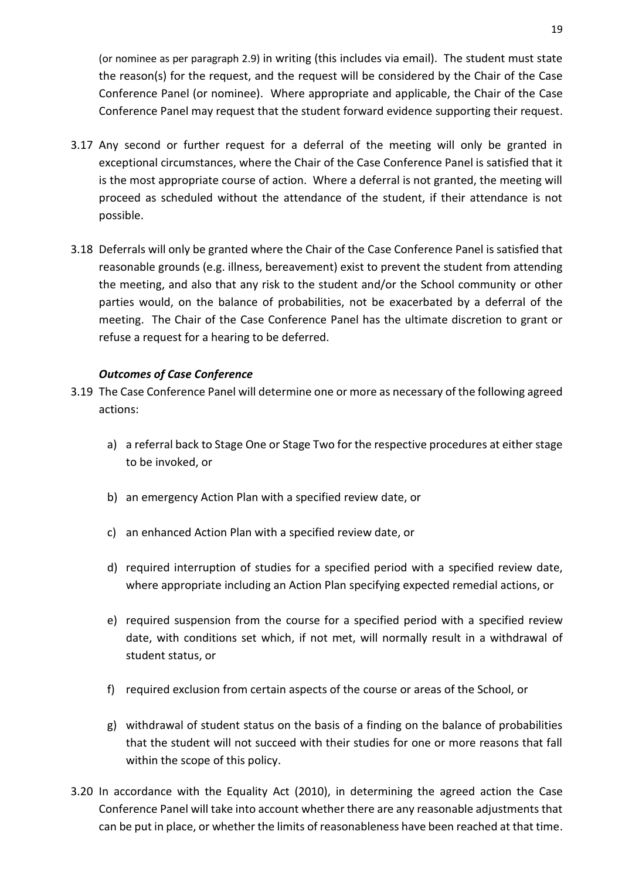(or nominee as per paragraph 2.9) in writing (this includes via email). The student must state the reason(s) for the request, and the request will be considered by the Chair of the Case Conference Panel (or nominee). Where appropriate and applicable, the Chair of the Case Conference Panel may request that the student forward evidence supporting their request.

- 3.17 Any second or further request for a deferral of the meeting will only be granted in exceptional circumstances, where the Chair of the Case Conference Panel is satisfied that it is the most appropriate course of action. Where a deferral is not granted, the meeting will proceed as scheduled without the attendance of the student, if their attendance is not possible.
- 3.18 Deferrals will only be granted where the Chair of the Case Conference Panel is satisfied that reasonable grounds (e.g. illness, bereavement) exist to prevent the student from attending the meeting, and also that any risk to the student and/or the School community or other parties would, on the balance of probabilities, not be exacerbated by a deferral of the meeting. The Chair of the Case Conference Panel has the ultimate discretion to grant or refuse a request for a hearing to be deferred.

## *Outcomes of Case Conference*

- 3.19 The Case Conference Panel will determine one or more as necessary of the following agreed actions:
	- a) a referral back to Stage One or Stage Two for the respective procedures at either stage to be invoked, or
	- b) an emergency Action Plan with a specified review date, or
	- c) an enhanced Action Plan with a specified review date, or
	- d) required interruption of studies for a specified period with a specified review date, where appropriate including an Action Plan specifying expected remedial actions, or
	- e) required suspension from the course for a specified period with a specified review date, with conditions set which, if not met, will normally result in a withdrawal of student status, or
	- f) required exclusion from certain aspects of the course or areas of the School, or
	- g) withdrawal of student status on the basis of a finding on the balance of probabilities that the student will not succeed with their studies for one or more reasons that fall within the scope of this policy.
- 3.20 In accordance with the Equality Act (2010), in determining the agreed action the Case Conference Panel will take into account whether there are any reasonable adjustments that can be put in place, or whether the limits of reasonableness have been reached at that time.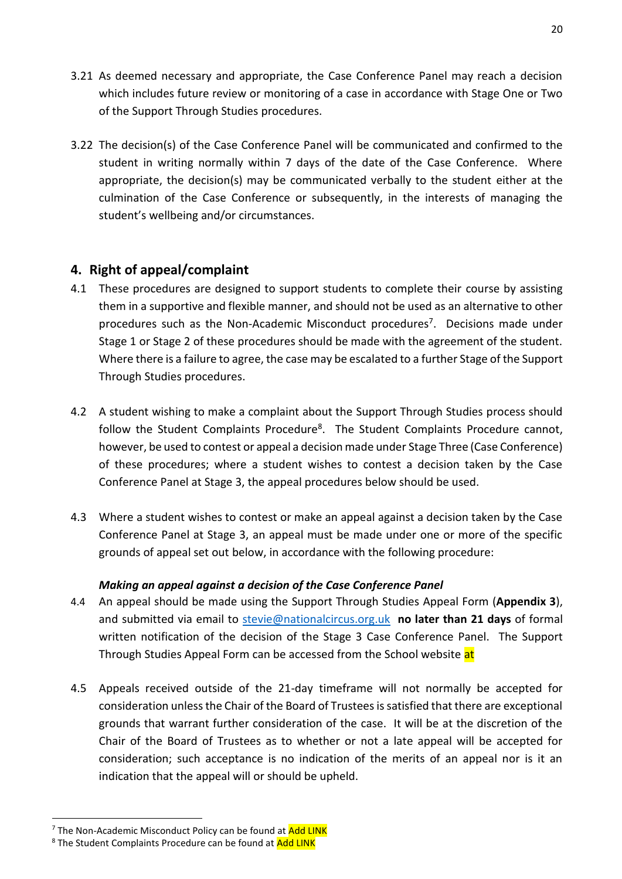- 3.21 As deemed necessary and appropriate, the Case Conference Panel may reach a decision which includes future review or monitoring of a case in accordance with Stage One or Two of the Support Through Studies procedures.
- 3.22 The decision(s) of the Case Conference Panel will be communicated and confirmed to the student in writing normally within 7 days of the date of the Case Conference. Where appropriate, the decision(s) may be communicated verbally to the student either at the culmination of the Case Conference or subsequently, in the interests of managing the student's wellbeing and/or circumstances.

## **4. Right of appeal/complaint**

- 4.1 These procedures are designed to support students to complete their course by assisting them in a supportive and flexible manner, and should not be used as an alternative to other procedures such as the Non-Academic Misconduct procedures<sup>7</sup>. Decisions made under Stage 1 or Stage 2 of these procedures should be made with the agreement of the student. Where there is a failure to agree, the case may be escalated to a further Stage of the Support Through Studies procedures.
- 4.2 A student wishing to make a complaint about the Support Through Studies process should follow the Student Complaints Procedure<sup>8</sup>. The Student Complaints Procedure cannot, however, be used to contest or appeal a decision made under Stage Three (Case Conference) of these procedures; where a student wishes to contest a decision taken by the Case Conference Panel at Stage 3, the appeal procedures below should be used.
- 4.3 Where a student wishes to contest or make an appeal against a decision taken by the Case Conference Panel at Stage 3, an appeal must be made under one or more of the specific grounds of appeal set out below, in accordance with the following procedure:

## *Making an appeal against a decision of the Case Conference Panel*

- 4.4 An appeal should be made using the Support Through Studies Appeal Form (**Appendix 3**), and submitted via email to [stevie@nationalcircus.org.uk](mailto:stevie@nationalcircus.org.uk) **no later than 21 days** of formal written notification of the decision of the Stage 3 Case Conference Panel. The Support Through Studies Appeal Form can be accessed from the School website at
- 4.5 Appeals received outside of the 21-day timeframe will not normally be accepted for consideration unless the Chair of the Board of Trustees is satisfied that there are exceptional grounds that warrant further consideration of the case. It will be at the discretion of the Chair of the Board of Trustees as to whether or not a late appeal will be accepted for consideration; such acceptance is no indication of the merits of an appeal nor is it an indication that the appeal will or should be upheld.

 $\overline{a}$ 

<sup>&</sup>lt;sup>7</sup> The Non-Academic Misconduct Policy can be found at Add LINK

<sup>&</sup>lt;sup>8</sup> The Student Complaints Procedure can be found at Add LINK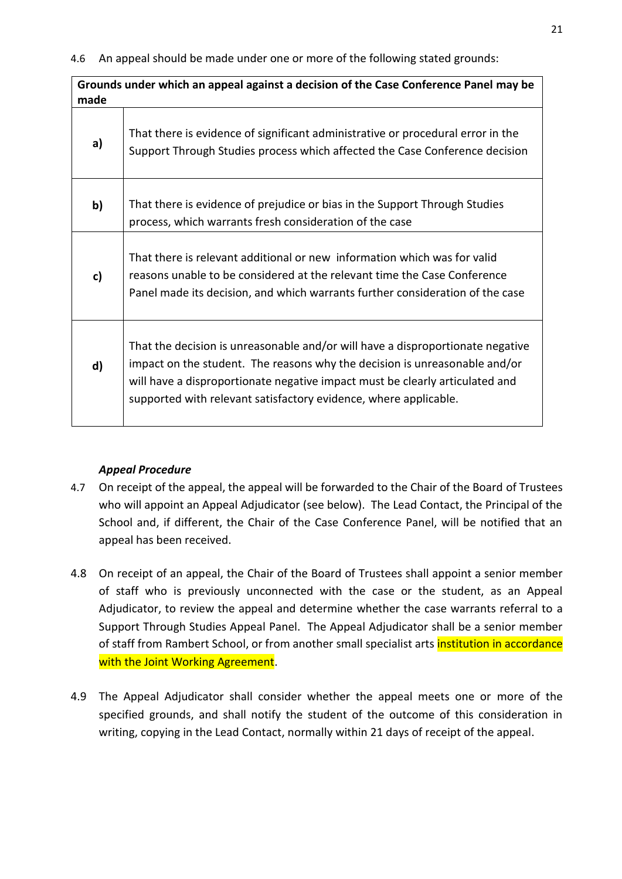**Grounds under which an appeal against a decision of the Case Conference Panel may be made**

| a) | That there is evidence of significant administrative or procedural error in the<br>Support Through Studies process which affected the Case Conference decision                                                                                                                                                   |
|----|------------------------------------------------------------------------------------------------------------------------------------------------------------------------------------------------------------------------------------------------------------------------------------------------------------------|
| b) | That there is evidence of prejudice or bias in the Support Through Studies<br>process, which warrants fresh consideration of the case                                                                                                                                                                            |
| c) | That there is relevant additional or new information which was for valid<br>reasons unable to be considered at the relevant time the Case Conference<br>Panel made its decision, and which warrants further consideration of the case                                                                            |
| d) | That the decision is unreasonable and/or will have a disproportionate negative<br>impact on the student. The reasons why the decision is unreasonable and/or<br>will have a disproportionate negative impact must be clearly articulated and<br>supported with relevant satisfactory evidence, where applicable. |

#### *Appeal Procedure*

- 4.7 On receipt of the appeal, the appeal will be forwarded to the Chair of the Board of Trustees who will appoint an Appeal Adjudicator (see below). The Lead Contact, the Principal of the School and, if different, the Chair of the Case Conference Panel, will be notified that an appeal has been received.
- 4.8 On receipt of an appeal, the Chair of the Board of Trustees shall appoint a senior member of staff who is previously unconnected with the case or the student, as an Appeal Adjudicator, to review the appeal and determine whether the case warrants referral to a Support Through Studies Appeal Panel. The Appeal Adjudicator shall be a senior member of staff from Rambert School, or from another small specialist arts *institution in accordance* with the Joint Working Agreement.
- 4.9 The Appeal Adjudicator shall consider whether the appeal meets one or more of the specified grounds, and shall notify the student of the outcome of this consideration in writing, copying in the Lead Contact, normally within 21 days of receipt of the appeal.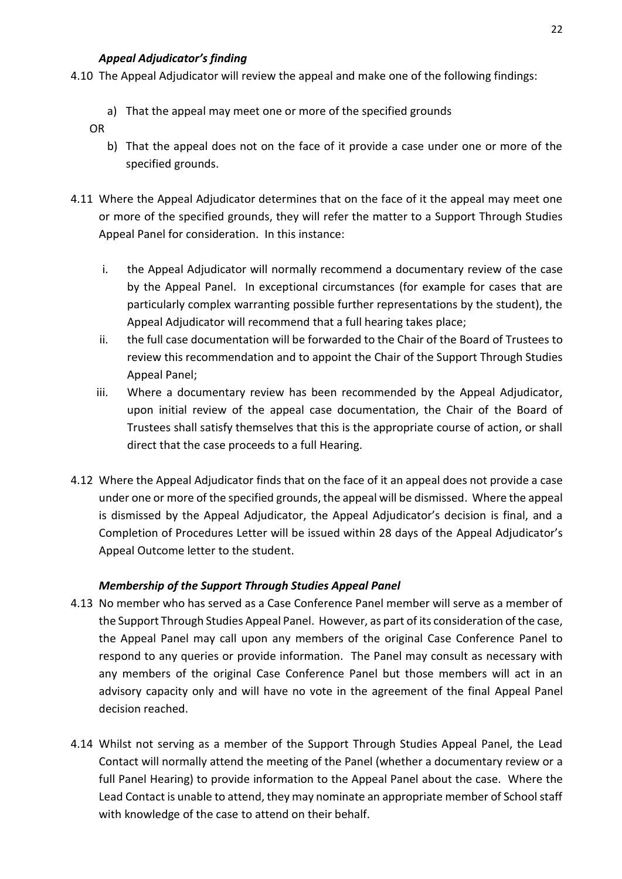## *Appeal Adjudicator's finding*

- 4.10 The Appeal Adjudicator will review the appeal and make one of the following findings:
	- a) That the appeal may meet one or more of the specified grounds
	- OR
		- b) That the appeal does not on the face of it provide a case under one or more of the specified grounds.
- 4.11 Where the Appeal Adjudicator determines that on the face of it the appeal may meet one or more of the specified grounds, they will refer the matter to a Support Through Studies Appeal Panel for consideration. In this instance:
	- i. the Appeal Adjudicator will normally recommend a documentary review of the case by the Appeal Panel. In exceptional circumstances (for example for cases that are particularly complex warranting possible further representations by the student), the Appeal Adjudicator will recommend that a full hearing takes place;
	- ii. the full case documentation will be forwarded to the Chair of the Board of Trustees to review this recommendation and to appoint the Chair of the Support Through Studies Appeal Panel;
	- iii. Where a documentary review has been recommended by the Appeal Adjudicator, upon initial review of the appeal case documentation, the Chair of the Board of Trustees shall satisfy themselves that this is the appropriate course of action, or shall direct that the case proceeds to a full Hearing.
- 4.12 Where the Appeal Adjudicator finds that on the face of it an appeal does not provide a case under one or more of the specified grounds, the appeal will be dismissed. Where the appeal is dismissed by the Appeal Adjudicator, the Appeal Adjudicator's decision is final, and a Completion of Procedures Letter will be issued within 28 days of the Appeal Adjudicator's Appeal Outcome letter to the student.

## *Membership of the Support Through Studies Appeal Panel*

- 4.13 No member who has served as a Case Conference Panel member will serve as a member of the Support Through Studies Appeal Panel. However, as part of its consideration of the case, the Appeal Panel may call upon any members of the original Case Conference Panel to respond to any queries or provide information. The Panel may consult as necessary with any members of the original Case Conference Panel but those members will act in an advisory capacity only and will have no vote in the agreement of the final Appeal Panel decision reached.
- 4.14 Whilst not serving as a member of the Support Through Studies Appeal Panel, the Lead Contact will normally attend the meeting of the Panel (whether a documentary review or a full Panel Hearing) to provide information to the Appeal Panel about the case. Where the Lead Contact is unable to attend, they may nominate an appropriate member of School staff with knowledge of the case to attend on their behalf.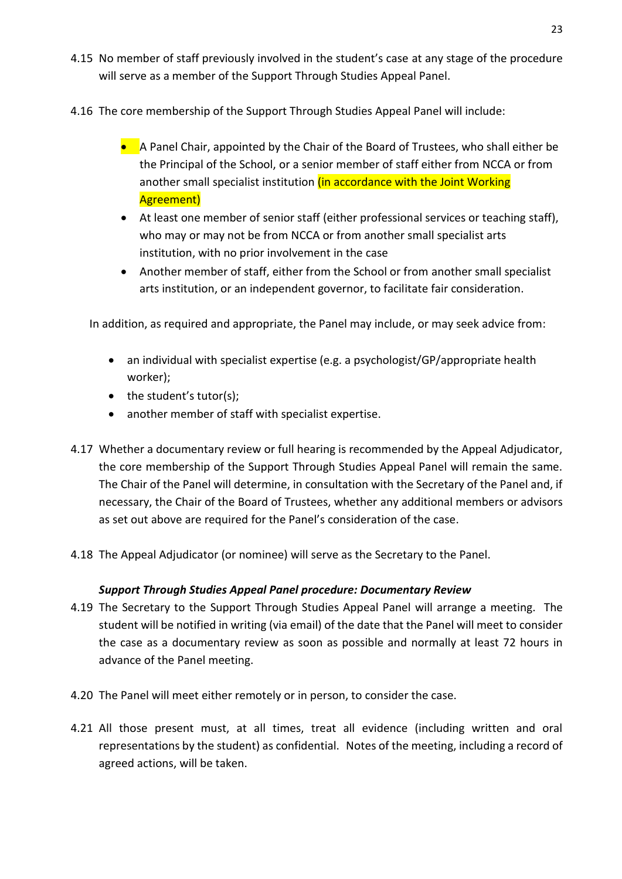- 4.15 No member of staff previously involved in the student's case at any stage of the procedure will serve as a member of the Support Through Studies Appeal Panel.
- 4.16 The core membership of the Support Through Studies Appeal Panel will include:
	- **A** Panel Chair, appointed by the Chair of the Board of Trustees, who shall either be the Principal of the School, or a senior member of staff either from NCCA or from another small specialist institution (in accordance with the Joint Working Agreement)
	- At least one member of senior staff (either professional services or teaching staff), who may or may not be from NCCA or from another small specialist arts institution, with no prior involvement in the case
	- Another member of staff, either from the School or from another small specialist arts institution, or an independent governor, to facilitate fair consideration.

In addition, as required and appropriate, the Panel may include, or may seek advice from:

- an individual with specialist expertise (e.g. a psychologist/GP/appropriate health worker);
- the student's tutor(s);
- another member of staff with specialist expertise.
- 4.17 Whether a documentary review or full hearing is recommended by the Appeal Adjudicator, the core membership of the Support Through Studies Appeal Panel will remain the same. The Chair of the Panel will determine, in consultation with the Secretary of the Panel and, if necessary, the Chair of the Board of Trustees, whether any additional members or advisors as set out above are required for the Panel's consideration of the case.
- 4.18 The Appeal Adjudicator (or nominee) will serve as the Secretary to the Panel.

## *Support Through Studies Appeal Panel procedure: Documentary Review*

- 4.19 The Secretary to the Support Through Studies Appeal Panel will arrange a meeting. The student will be notified in writing (via email) of the date that the Panel will meet to consider the case as a documentary review as soon as possible and normally at least 72 hours in advance of the Panel meeting.
- 4.20 The Panel will meet either remotely or in person, to consider the case.
- 4.21 All those present must, at all times, treat all evidence (including written and oral representations by the student) as confidential. Notes of the meeting, including a record of agreed actions, will be taken.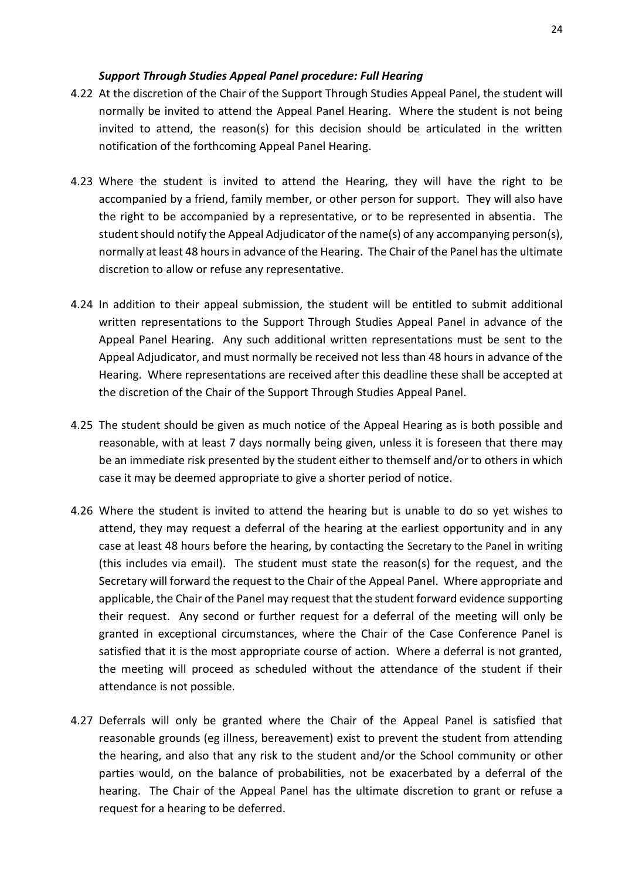#### *Support Through Studies Appeal Panel procedure: Full Hearing*

- 4.22 At the discretion of the Chair of the Support Through Studies Appeal Panel, the student will normally be invited to attend the Appeal Panel Hearing. Where the student is not being invited to attend, the reason(s) for this decision should be articulated in the written notification of the forthcoming Appeal Panel Hearing.
- 4.23 Where the student is invited to attend the Hearing, they will have the right to be accompanied by a friend, family member, or other person for support. They will also have the right to be accompanied by a representative, or to be represented in absentia. The student should notify the Appeal Adjudicator of the name(s) of any accompanying person(s), normally at least 48 hours in advance of the Hearing. The Chair of the Panel has the ultimate discretion to allow or refuse any representative.
- 4.24 In addition to their appeal submission, the student will be entitled to submit additional written representations to the Support Through Studies Appeal Panel in advance of the Appeal Panel Hearing. Any such additional written representations must be sent to the Appeal Adjudicator, and must normally be received not less than 48 hours in advance of the Hearing. Where representations are received after this deadline these shall be accepted at the discretion of the Chair of the Support Through Studies Appeal Panel.
- 4.25 The student should be given as much notice of the Appeal Hearing as is both possible and reasonable, with at least 7 days normally being given, unless it is foreseen that there may be an immediate risk presented by the student either to themself and/or to others in which case it may be deemed appropriate to give a shorter period of notice.
- 4.26 Where the student is invited to attend the hearing but is unable to do so yet wishes to attend, they may request a deferral of the hearing at the earliest opportunity and in any case at least 48 hours before the hearing, by contacting the Secretary to the Panel in writing (this includes via email). The student must state the reason(s) for the request, and the Secretary will forward the request to the Chair of the Appeal Panel. Where appropriate and applicable, the Chair of the Panel may request that the student forward evidence supporting their request. Any second or further request for a deferral of the meeting will only be granted in exceptional circumstances, where the Chair of the Case Conference Panel is satisfied that it is the most appropriate course of action. Where a deferral is not granted, the meeting will proceed as scheduled without the attendance of the student if their attendance is not possible.
- 4.27 Deferrals will only be granted where the Chair of the Appeal Panel is satisfied that reasonable grounds (eg illness, bereavement) exist to prevent the student from attending the hearing, and also that any risk to the student and/or the School community or other parties would, on the balance of probabilities, not be exacerbated by a deferral of the hearing. The Chair of the Appeal Panel has the ultimate discretion to grant or refuse a request for a hearing to be deferred.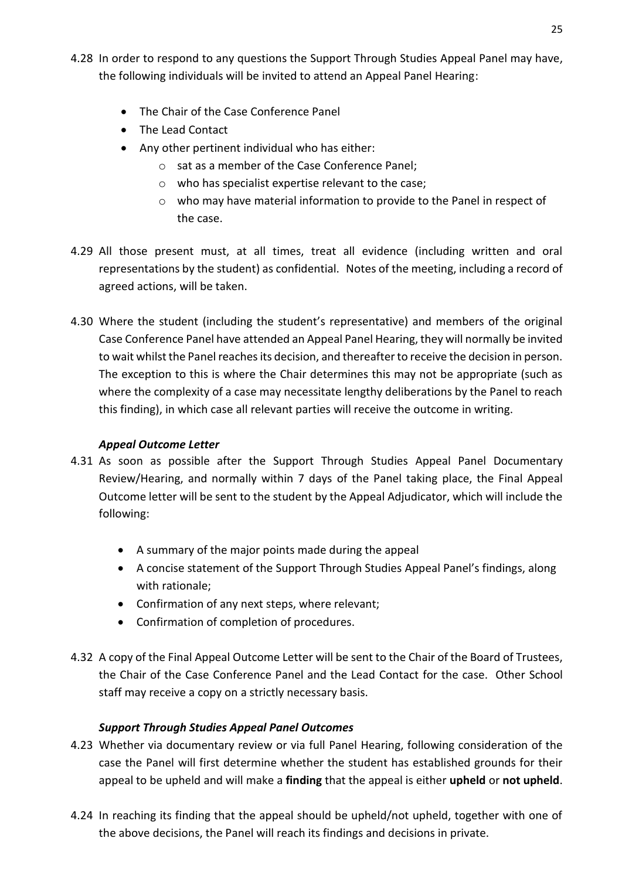- 4.28 In order to respond to any questions the Support Through Studies Appeal Panel may have, the following individuals will be invited to attend an Appeal Panel Hearing:
	- The Chair of the Case Conference Panel
	- The Lead Contact
	- Any other pertinent individual who has either:
		- o sat as a member of the Case Conference Panel;
		- o who has specialist expertise relevant to the case;
		- o who may have material information to provide to the Panel in respect of the case.
- 4.29 All those present must, at all times, treat all evidence (including written and oral representations by the student) as confidential. Notes of the meeting, including a record of agreed actions, will be taken.
- 4.30 Where the student (including the student's representative) and members of the original Case Conference Panel have attended an Appeal Panel Hearing, they will normally be invited to wait whilst the Panel reaches its decision, and thereafter to receive the decision in person. The exception to this is where the Chair determines this may not be appropriate (such as where the complexity of a case may necessitate lengthy deliberations by the Panel to reach this finding), in which case all relevant parties will receive the outcome in writing.

## *Appeal Outcome Letter*

- 4.31 As soon as possible after the Support Through Studies Appeal Panel Documentary Review/Hearing, and normally within 7 days of the Panel taking place, the Final Appeal Outcome letter will be sent to the student by the Appeal Adjudicator, which will include the following:
	- A summary of the major points made during the appeal
	- A concise statement of the Support Through Studies Appeal Panel's findings, along with rationale;
	- Confirmation of any next steps, where relevant;
	- Confirmation of completion of procedures.
- 4.32 A copy of the Final Appeal Outcome Letter will be sent to the Chair of the Board of Trustees, the Chair of the Case Conference Panel and the Lead Contact for the case. Other School staff may receive a copy on a strictly necessary basis.

## *Support Through Studies Appeal Panel Outcomes*

- 4.23 Whether via documentary review or via full Panel Hearing, following consideration of the case the Panel will first determine whether the student has established grounds for their appeal to be upheld and will make a **finding** that the appeal is either **upheld** or **not upheld**.
- 4.24 In reaching its finding that the appeal should be upheld/not upheld, together with one of the above decisions, the Panel will reach its findings and decisions in private.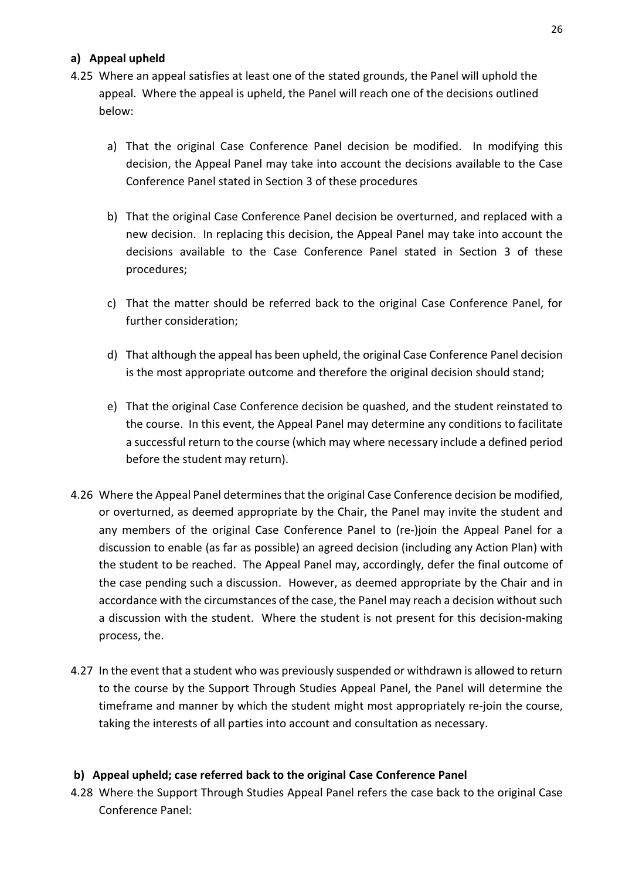## **a) Appeal upheld**

- 4.25 Where an appeal satisfies at least one of the stated grounds, the Panel will uphold the appeal. Where the appeal is upheld, the Panel will reach one of the decisions outlined below:
	- a) That the original Case Conference Panel decision be modified. In modifying this decision, the Appeal Panel may take into account the decisions available to the Case Conference Panel stated in Section 3 of these procedures
	- b) That the original Case Conference Panel decision be overturned, and replaced with a new decision. In replacing this decision, the Appeal Panel may take into account the decisions available to the Case Conference Panel stated in Section 3 of these procedures;
	- c) That the matter should be referred back to the original Case Conference Panel, for further consideration;
	- d) That although the appeal has been upheld, the original Case Conference Panel decision is the most appropriate outcome and therefore the original decision should stand;
	- e) That the original Case Conference decision be quashed, and the student reinstated to the course. In this event, the Appeal Panel may determine any conditions to facilitate a successful return to the course (which may where necessary include a defined period before the student may return).
- 4.26 Where the Appeal Panel determines that the original Case Conference decision be modified, or overturned, as deemed appropriate by the Chair, the Panel may invite the student and any members of the original Case Conference Panel to (re-)join the Appeal Panel for a discussion to enable (as far as possible) an agreed decision (including any Action Plan) with the student to be reached. The Appeal Panel may, accordingly, defer the final outcome of the case pending such a discussion. However, as deemed appropriate by the Chair and in accordance with the circumstances of the case, the Panel may reach a decision without such a discussion with the student. Where the student is not present for this decision-making process, the.
- 4.27 In the event that a student who was previously suspended or withdrawn is allowed to return to the course by the Support Through Studies Appeal Panel, the Panel will determine the timeframe and manner by which the student might most appropriately re-join the course, taking the interests of all parties into account and consultation as necessary.

## **b) Appeal upheld; case referred back to the original Case Conference Panel**

4.28 Where the Support Through Studies Appeal Panel refers the case back to the original Case Conference Panel: